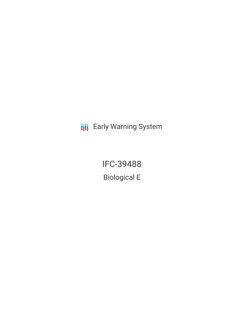**III** Early Warning System

IFC-39488 Biological E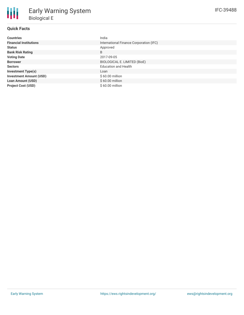| <b>Countries</b>               | India                                   |
|--------------------------------|-----------------------------------------|
| <b>Financial Institutions</b>  | International Finance Corporation (IFC) |
| <b>Status</b>                  | Approved                                |
| <b>Bank Risk Rating</b>        | B                                       |
| <b>Voting Date</b>             | 2017-09-05                              |
| <b>Borrower</b>                | BIOLOGICAL E. LIMITED (BioE)            |
| <b>Sectors</b>                 | <b>Education and Health</b>             |
| <b>Investment Type(s)</b>      | Loan                                    |
| <b>Investment Amount (USD)</b> | \$60.00 million                         |
| <b>Loan Amount (USD)</b>       | \$60.00 million                         |
| <b>Project Cost (USD)</b>      | $$60.00$ million                        |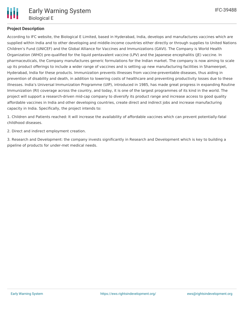

## **Project Description**

According to IFC website, the Biological E Limited, based in Hyderabad, India, develops and manufactures vaccines which are supplied within India and to other developing and middle-income countries either directly or through supplies to United Nations Children's Fund (UNICEF) and the Global Alliance for Vaccines and Immunizations (GAVI). The Company is World Health Organization (WHO) pre-qualified for the liquid pentavalent vaccine (LPV) and the Japanese encephalitis (JE) vaccine. In pharmaceuticals, the Company manufactures generic formulations for the Indian market. The company is now aiming to scale up its product offerings to include a wider range of vaccines and is setting up new manufacturing facilities in Shameerpet, Hyderabad, India for these products. Immunization prevents illnesses from vaccine-preventable diseases, thus aiding in prevention of disability and death, in addition to lowering costs of healthcare and preventing productivity losses due to these illnesses. India's Universal Immunization Programme (UIP), introduced in 1985, has made great progress in expanding Routine Immunization (RI) coverage across the country, and today, it is one of the largest programmes of its kind in the world. The project will support a research-driven mid-cap company to diversify its product range and increase access to good quality affordable vaccines in India and other developing countries, create direct and indirect jobs and increase manufacturing capacity in India. Specifically, the project intends to:

1. Children and Patients reached: It will increase the availability of affordable vaccines which can prevent potentially-fatal childhood diseases.

2. Direct and indirect employment creation.

3. Research and Development: the company invests significantly in Research and Development which is key to building a pipeline of products for under-met medical needs.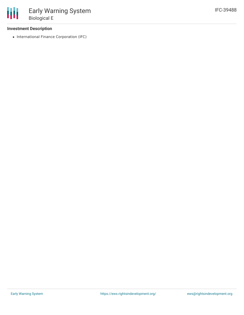## **Investment Description**

• International Finance Corporation (IFC)